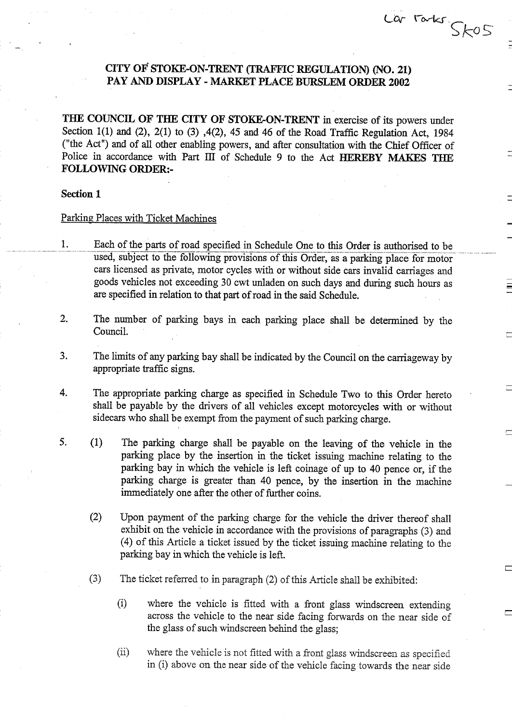# CITY OF' STOKE-ON-TRENT (TRAFFIC REGULATION) (NO. 21) PAY AND DISPLAY - MARKET PLACE BURSLEM ORDER 2002

 $Lor$   $r$  arks .

THE COUNCIL OF THE CITY OF STOKE-ON-TRENT in exercise of its powers under Section 1(1) and (2), 2(1) to (3), 4(2), 45 and 46 of the Road Traffic Regulation Act, 1984 ("the Act") and of all other enabling powers, and after consultation with the Chief Officer of Police in accordance with Part III of Schedule 9 to the Act HEREBY MAKES THE FOLLOWING ORDER:-

### Section 1

## Parking Places with Ticket Machines

- 1. Each of the parts of road specified in Schedule One to this Order is authorised to be used, subject to the following provisions of this Order, as a parking place for motor cars licensed as private, motor cycles with or without side cars invalid carriages and goods vehicles not exceeding 30 cwt unladen on such days and during such hours as are specified in relation to that part of road in the said Schedule.
- 2. The number of parking bays in each parking place shall be determined by the Council.
- 3 . The limits of any parking bay shall be indicated by the Council on the carriageway by appropriate traffic signs.
- 4. The appropriate parking charge as specified in Schedule Two to this Order hereto shall be payable by the drivers of all vehicles except motorcycles with or without sidecars who shall be exempt from the payment of such parking charge.
- 5. (1) The parking charge shall be payable on the leaving of the vehicle in the parking place by the insertion in the ticket issuing machine relating to the parking bay in which the vehicle is left coinage of up to 40 pence or, if the parking charge is greater than 40 pence, by the insertion in the machine immediately one after the other of further coins.
	- (2) Upon payment of the parking charge for the vehicle the driver thereof shall exhibit on the vehicle in accordance with the provisions of paragraphs (3) and (4) of this Article a ticket issued by the ticket issuing machine relating to the parking bay in which the vehicle is left.
	- $(3)$ The ticket referred to in paragraph (2) of this Article shall be exhibited:
		- $(i)$ where the vehicle is fitted with a front glass windscreen extending across the vehicle to the near side facing forwards on the near side of the glass of such windscreen behind the glass;
		- (ii) where the vehicle is not fitted with a front glass windscreen as specified in (i) above on the near side of the vehicle facing towards the near side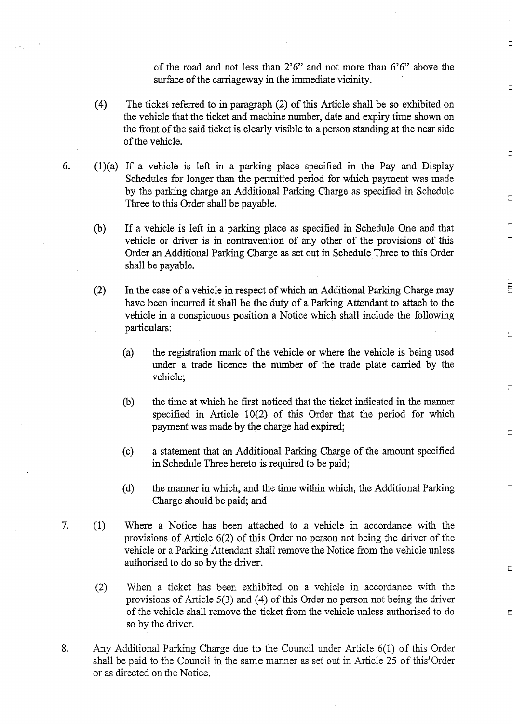of the road and not less than 2'6" and not more than 6'6" above the surface of the carriageway in the immediate vicinity.

- (4) The ticket referred to in paragraph (2) of this Article shall be so exhibited on the vehicle that the ticket and machine number, date and expiry time shown on the front of the said ticket is clearly visible to a person standing at the near side of the vehicle.
- 6. (1)(a) If a vehicle is left in a parking place specified in the Pay and Display Schedules for longer than the permitted period for which payment was made by the parking charge an Additional Parking Charge as specified in Schedule Three to this Order shall be payable.
	- If a vehicle is left in a parking place as specified in Schedule One and that  $(b)$ vehicle or driver is in contravention of any other of the provisions of this Order an Additional Parking Charge as set out in Schedule Three to this Order shall be payable.
	- (2) In the case of a vehicle in respect of which an Additional Parking Charge may have been incurred it shall be the duty of a Parking Attendant to attach to the vehicle in a conspicuous position a Notice which shall include the following particulars:
		- (a) the registration mark of the vehicle or where the vehicle is being used under a trade licence the number of the trade plate carried by the vehicle:
		- $(b)$ the time at which he first noticed that the ticket indicated in the manner specified in Article 10(2) of this Order that the period for which payment was made by the charge had expired;
		- $(c)$ a statement that an Additional Parking Charge of the amount specified in Schedule Three hereto is required to be paid;
		- (d) the manner in which, and the time within which, the Additional Parking Charge should be paid; and
- 7. (1) Where a Notice has been attached to .a vehicle in accordance with the provisions of Article 6(2) of this Order no person not being the driver of the vehicle or a Parking Attendant shall remove the Notice from the vehicle unless authorised to do so by the driver.
	- (2) When <sup>a</sup> ticket has been exhibited on <sup>a</sup> vehicle in accordance with the provisions of Article 5(3) and (4) of this Order no person not being the driver of the vehicle shall remove the ticket from the vehicle unless authorised to do so by the driver.
- 8. Any Additional Parking Charge due to the Council under Article 6(1) of this Order shall be paid to the Council in the same manner as set out in Article 25 of this Order or as directed on the Notice.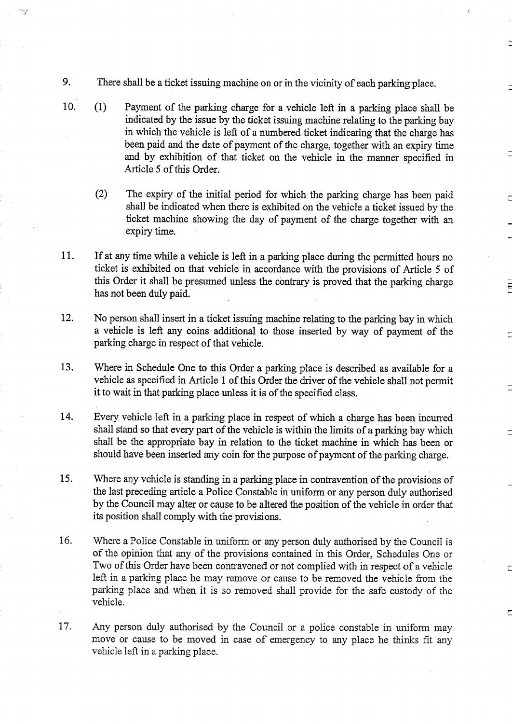9. There shall be a ticket issuing machine on or in the vicinity of each parking place.

75

- 10. (1) Payment of the parking charge for a vehicle left in a parking place shall be indicated by the issue by the ticket issuing machine relating to the parking bay in which the vehicle is left of a numbered ticket indicating that the charge has been paid and the date of payment of the charge, together with an expiry time and by exhibition of that ticket on the vehicle in the manner specified in Article 5 of this Order.
	- (2) The expiry of the initial period for which the parking charge has been paid shall be indicated when there is exhibited on the vehicle a ticket issued by the ticket machine showing the day of payment of the charge together with an expiry time.
- <sup>11</sup> . If at any time while a vehicle is left in a parking place during the permitted hours no ticket is exhibited on that vehicle in accordance with the provisions of Article 5 of this Order it shall be presumed unless the contrary is proved that the parking charge has not been duly paid.
- 12. No person shall insert in a ticket issuing machine relating to the parking bay in which a vehicle is left any coins additional to those inserted by way of payment of the parking charge in respect of that vehicle.
- 13. Where in Schedule One to this Order a parking place is described as available for a vehicle as specified in Article 1 of this Order the driver of the vehicle shall not permit it to wait in that parking place unless it is of the specified class .
- 14. Every vehicle left in a parking place in respect of which a charge has been incurred shall stand so that every part of the vehicle is within the limits of a parking bay which shall be the appropriate bay in relation to the ticket machine in which has been or should have been inserted any coin for the purpose of payment of the parking charge.
- 15 . Where any vehicle is standing in a parking place in contravention of the provisions of the last preceding article a Police Constable in uniform or any person duly authorised by the Council may alter or cause to be altered the position of the vehicle in order that its position shall comply with the provisions.
- 16. Where a Police Constable in uniform or any person duly authorised by the Council is of the opinion that any of the provisions contained in this Order, Schedules One or Two of this Order have been contravened or not complied with in respect of a vehicle left in a parking place he may remove or cause to be removed the vehicle from the parking place and when it is so removed shall provide for the safe custody of the vehicle.
- 17. Any person duly authorised by the Council or <sup>a</sup> police constable in uniform may move or cause to be moved in case of emergency to any place he thinks fit any vehicle left in a parking place.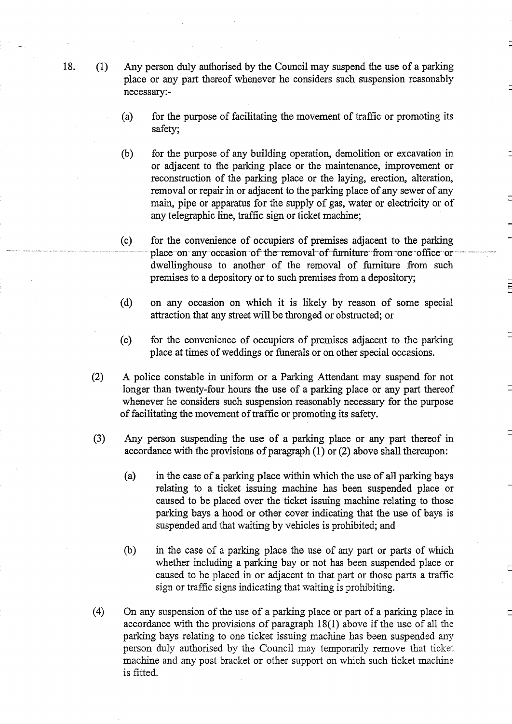- 18. (1) Any person duly authorised by the Council may suspend the use of a parking place or any part thereof whenever he considers such suspension reasonably necessary:-
	- (a) for the purpose of facilitating the movement of traffic or promoting its safety;
	- (b) for the purpose of any building operation, demolition or excavation in or adjacent to the parking place or the maintenance, improvement or reconstruction of the parking place or the laying, erection, alteration, removal or repair in or adjacent to the parking place of any sewer of any main, pipe or apparatus for the supply of gas, water or electricity or of any telegraphic line, traffic sign or ticket machine;
	- (c) for the convenience of occupiers of premises adjacent to the parking place-on-any-occasion-of-the-removal-of-furniture from-one-office-ordwellinghouse to another of the removal of furniture from such premises to a depository or to such premises from a depository;
	- (d) on any occasion on which it is likely by reason of some special attraction that any street will be thronged or obstructed; or
	- (e) for the convenience of occupiers of premises adjacent to the parking place at times of weddings or funerals or on other special occasions.
	- (2) A police constable in uniform or <sup>a</sup> Parking Attendant may suspend for not longer than twenty-four hours the use of a parking place or any part thereof whenever he considers such suspension reasonably necessary for the purpose of facilitating the movement of traffic or promoting its safety .
	- $(3)$ Any person suspending the use of a parking place or any part thereof in accordance with the provisions of paragraph  $(1)$  or  $(2)$  above shall thereupon:
		- (a) in the case of a parking place within which the use of all parking bays relating to a ticket issuing machine has been suspended place or caused to be placed over the ticket issuing machine relating to those parking bays a hood or other cover indicating that the use of bays is suspended and that waiting by vehicles is prohibited; and
		- (b) in the case of a parking place the use of any part or parts of which whether including a parking bay or not has been suspended place or caused to be placed in or adjacent to that part or those parts <sup>a</sup> traffic sign or traffic signs indicating that waiting is prohibiting.
	- (4) On any suspension of the use of a parking place or part of a parking place in accordance with the provisions of paragraph 18(1) above if the use of all the parking bays relating to one ticket issuing machine has been suspended any person duly authorised by the Council may temporarily remove that ticket machine and any post bracket or other support on which such ticket machine is fitted.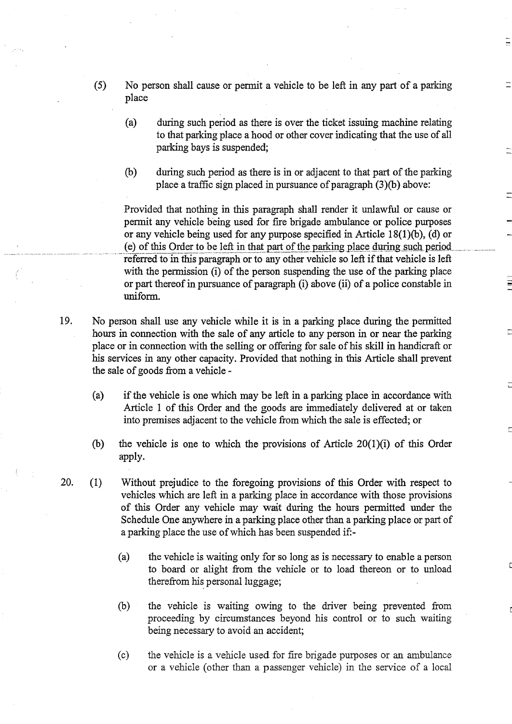- $(5)$ No person shall cause or permit <sup>a</sup> vehicle to be left in any part of <sup>a</sup> parking place
	- (a) during such period as there is over the ticket issuing machine relating to that parking place a hood or other cover indicating that the use of all parking bays is suspended;
	- (b) during such period as there is in or adjacent to that part of the parking place a traffic sign placed in pursuance of paragraph  $(3)(b)$  above:

Provided that nothing in this paragraph shall render it unlawful or cause or permit any vehicle being used for fire brigade ambulance or police purposes or any vehicle being used for any purpose specified in Article 18(1)(b), (d) or (e) of this Order to be left in that part of the parking place during such period. referred to in this paragraph or to any other vehicle so left if that vehicle is left with the permission (i) of the person suspending the use of the parking place or part thereof in pursuance of paragraph (i) above (ii) of a police constable in uniform.

- 19 . No person shall use any vehicle while it is in a parking place during the permitted hours in connection with the sale of any article to any person in or near the parking place or in connection with the selling or offering for sale of his skill in handicraft or his services in any other capacity. Provided that nothing in this Article shall prevent the sale of goods from a vehicle -
	- (a) if the vehicle is one which may be left in a parking place in accordance with Article <sup>1</sup> of this Order and the goods are immediately delivered at or taken into premises adjacent to the vehicle from which the sale is effected; or
	- (b) the vehicle is one to which the provisions of Article 20(1)(i) of this Order apply.
- 20. (1) Without prejudice to the foregoing provisions of this Order with respect to vehicles which are left in a parking place in accordance with those provisions of this Order any vehicle may wait during the hours permitted under the Schedule One anywhere in a parking place other than a parking place or part of a parking place the use ofwhich has been suspended if,
	- (a) the vehicle is waiting only for so long as is necessary to enable a person to board or alight from the vehicle or to load thereon or to unload therefrom his personal luggage;
	- (b) the vehicle is waiting owing to the driver being prevented from proceeding by circumstances beyond his control or to such waiting being necessary to avoid an accident;
	- (c) the vehicle is a vehicle used for fire brigade purposes or an ambulance or a vehicle (other than a passenger vehicle) in the service of a local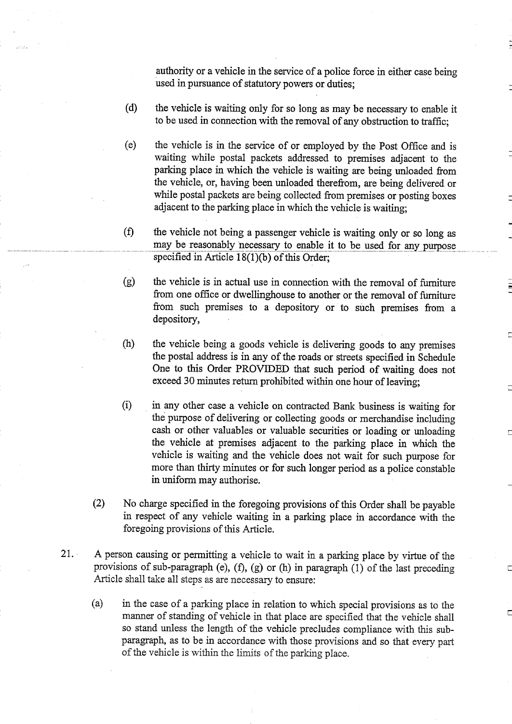authority or a vehicle in the service of a police force in either case being used in pursuance of statutory powers or duties;

- (d) the vehicle is waiting only for so long as may be necessary to enable it to be used in connection with the removal of any obstruction to traffic ;
- (e) the vehicle is in the service of or employed by the Post Office and is waiting while postal packets addressed to premises adjacent to the parking place in which the vehicle is waiting are being unloaded from the vehicle, or, having been unloaded therefrom, are being delivered or while postal packets are being collected from premises or posting boxes adjacent to the parking place in which the vehicle is waiting;
- $(f)$ the vehicle not being a passenger vehicle is waiting only or so long as may be reasonably necessary to enable it to be used for any purpose specified in Article  $18(1)(b)$  of this Order;
- the vehicle is in actual use in connection with the removal of furniture  $(g)$ from one office or dwellinghouse to another or the removal of furniture from such premises to a depository or to such premises from a depository,
- (h) the vehicle being a goods vehicle is delivering goods to any premises the postal address is in any of the roads or streets specified in Schedule One to this Order PROVIDED that such period of waiting does not exceed 30 minutes return prohibited within one hour of leaving;
- $(i)$ in any other case a vehicle on contracted Bank business is waiting for the purpose of delivering or collecting goods or merchandise including cash or other valuables or valuable securities or loading or unloading the vehicle at premises adjacent to the parking place in which the vehicle is waiting and the vehicle does not wait for such purpose for more than thirty minutes or for such longer period as a police constable in uniform may authorise.
- (2) No charge specified in the foregoing provisions of this Order shall be payable in respect of any vehicle waiting in a parking place in accordance with the foregoing provisions of this Article.

Г

- 21. A person causing or permitting a vehicle to wait in a parking place by virtue of the provisions of sub-paragraph (e), (f), (g) or (h) in paragraph (1) of the last preceding Article shall take all steps as are necessary to ensure:
	- (a) in the case of a parking place in relation to which special provisions as to the manner of standing of vehicle in that place are specified that the vehicle shall so stand unless the length of the vehicle precludes compliance with this sub paragraph, as to be in accordance with those provisions and so that every part of the vehicle is within the limits of the parking place.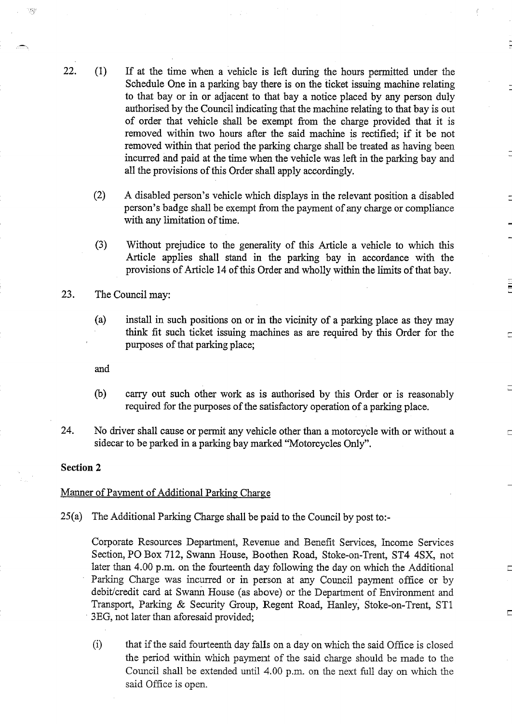- 22. (1) If at the time when a vehicle is left during the hours permitted under the Schedule One in a parking bay there is on the ticket issuing machine relating to that bay or in or adjacent to that bay a notice placed by any person duly authorised by the Council indicating that the machine relating to that bay is out of order that vehicle shall be exempt from the charge provided that it is removed within two hours after the said machine is rectified; if it be not removed within that period the parking charge shall be treated as having been incurred and paid at the time when the vehicle was left in the parking bay and all the provisions of this Order shall apply accordingly.
	- (2) A disabled person's vehicle which displays in the relevant position <sup>a</sup> disabled person's badge shall be exempt from the payment of any charge or compliance with any limitation of time.
	- $(3)$ Without prejudice to the generality of this Article a vehicle to which this Article applies shall stand in the parking bay in accordance with the provisions of Article 14 of this Order and wholly within the limits of that bay.
- 23. The Council may:
	- (a) install in such positions on or in the vicinity of a parking place as they may think fit such ticket issuing machines as are required by this Order for the purposes of that parking place;

and

 $(b)$ carry out such other work as is authorised by this Order or is reasonably required for the purposes of the satisfactory operation of a parking place.

 $\overline{C}$ 

 $\Box$ 

24. No driver shall cause or permit any vehicle other than a motorcycle with or without a sidecar to be parked in a parking bay marked "Motorcycles Only".

#### Section 2

#### Manner of Payment of Additional Parking Charge

25(a) The Additional Parking Charge shall be paid to the Council by post to:-

Corporate Resources Department, Revenue and Benefit Services, Income Services Section, PO Box 712, Swann House, Boothen Road, Stoke-on-Trent, ST4 4SX, not later than 4.00 p.m. on the fourteenth day following the day on which the Additional Parking Charge was incurred or in person at any Council payment office or by debit/credit card at Swann House (as above) or the Department of Environment and Transport, Parking & Security Group, Regent Road, Hanley, Stoke-on-Trent, ST1 3EG, not later than aforesaid provided;

 $(i)$ that if the said fourteenth day falls on a day on which the said Office is closed the period within which payment of the said charge should be made to the Council shall be extended until 4.00 p.m. on the next full day on which the said Office is open.

72월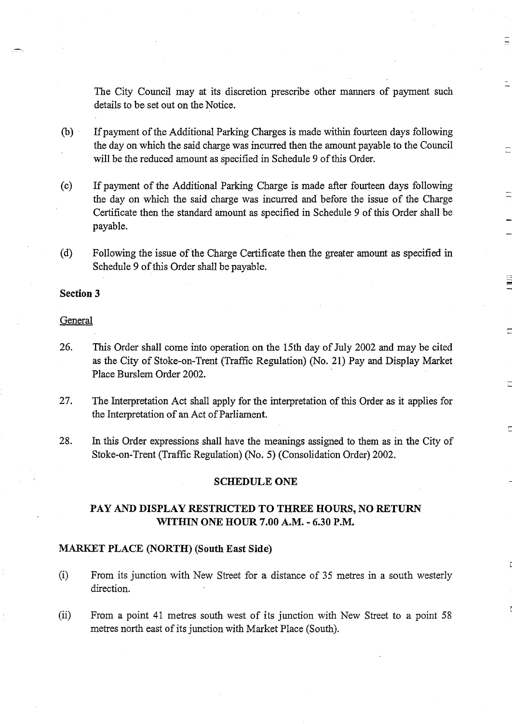The City Council may at its discretion prescribe other manners of payment such details to be set out on the Notice.

 $\Xi$ 

- (b) Ifpayment ofthe Additional Parking Charges is made within fourteen days following the day on which the said charge was incurred then the amount payable to the Council will be the reduced amount as specified in Schedule 9 of this Order.
- (c) If payment of the Additional Parking Charge is made after fourteen days following the day on which the said charge was incurred and before the issue of the Charge Certificate then the standard amount as specified in Schedule 9 of this Order shall be payable.
- (d) Following the issue of the Charge Certificate then the greater amount as specified in Schedule 9 of this Order shall be payable.

## Section 3

### **General**

- 26. This Order shall come into operation on the 15th day of July 2002 and may be cited as the City of Stoke-on-Trent (Traffic Regulation) (No. 21) Pay and Display Market Place Burslem Order 2002.
- 27. The Interpretation Act shall apply for the interpretation of this Order as it applies for the Interpretation of an Act of Parliament.
- 28. In this Order expressions shall have the meanings assigned to them as in the City of Stoke-on-Trent (Traffic Regulation) (No. 5) (Consolidation Order) 2002.

#### SCHEDULE ONE

# PAY AND DISPLAY RESTRICTED TO THREE HOURS, NO RETURN WITHIN ONE HOUR 7.00 A.M. - 6.30 P.M.

#### MARKET PLACE (NORTH) (South East Side)

- $(i)$ From its junction with New Street for a distance of 35 metres in <sup>a</sup> south westerly direction.
- (ii) From <sup>a</sup> point <sup>41</sup> metres south west of its junction with New Street to a point 58 metres north east of its junction with Market Place (South).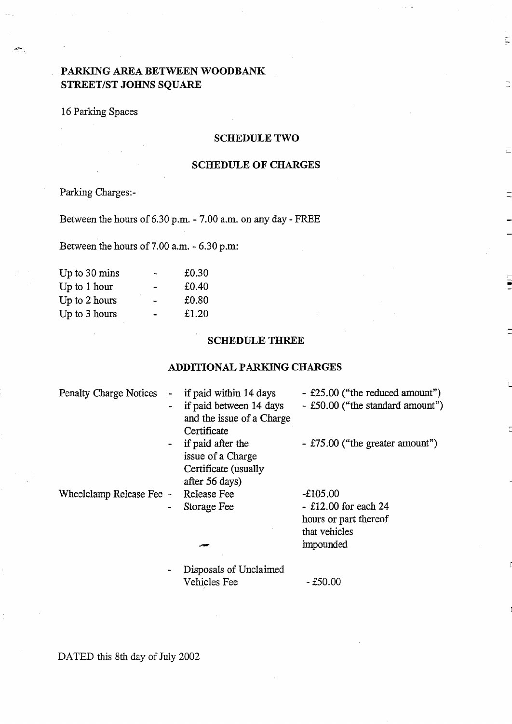# PARKING AREA BETWEEN WOODBANK STREET/ST JOHNS SQUARE

# 16 Parking Spaces

## SCHEDULE TWO

Ę

## SCHEDULE OF CHARGES

Parking Charges:-

Between the hours of 6.30 p.m. - 7.00 a.m. on any day - FREE

Between the hours of 7.00 a.m. - 6.30 p.m:

| Up to 30 mins  |                          | £0.30 |
|----------------|--------------------------|-------|
| Up to $1$ hour |                          | £0.40 |
| Up to 2 hours  |                          | £0.80 |
| Up to 3 hours  | $\overline{\phantom{a}}$ | £1.20 |
|                |                          |       |

## SCHEDULE THREE

## ADDITIONAL PARKING CHARGES

| <b>Penalty Charge Notices</b> | $\sim$                   | if paid within 14 days<br>if paid between 14 days | - £25.00 ("the reduced amount")<br>- £50.00 ("the standard amount") |
|-------------------------------|--------------------------|---------------------------------------------------|---------------------------------------------------------------------|
|                               |                          | and the issue of a Charge                         |                                                                     |
|                               |                          | Certificate                                       |                                                                     |
|                               | $\sim$                   | if paid after the                                 | $-$ £75.00 ("the greater amount")                                   |
|                               |                          | issue of a Charge                                 |                                                                     |
|                               |                          | Certificate (usually                              |                                                                     |
|                               |                          | after 56 days)                                    |                                                                     |
| Wheelclamp Release Fee -      |                          | Release Fee                                       | $-£105.00$                                                          |
|                               | $\blacksquare$           | Storage Fee                                       | $-$ £12.00 for each 24                                              |
|                               |                          |                                                   | hours or part thereof                                               |
|                               |                          |                                                   | that vehicles                                                       |
|                               |                          |                                                   | impounded                                                           |
|                               | $\overline{\phantom{a}}$ | Disposals of Unclaimed                            |                                                                     |
|                               |                          | Vehicles Fee                                      | - £50.00                                                            |

DATED this 8th day of July 2002